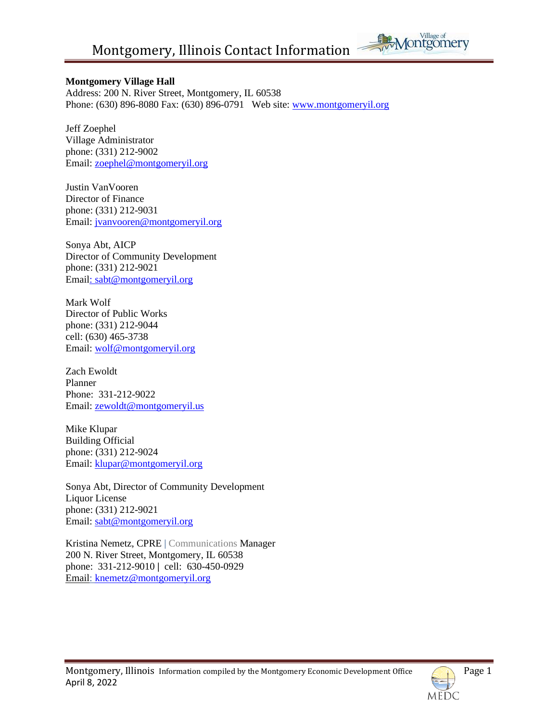

#### **Montgomery Village Hall**

Address: 200 N. River Street, Montgomery, IL 60538 Phone: (630) 896-8080 Fax: (630) 896-0791 Web site: [www.montgomeryil.org](http://www.montgomeryil.org/)

Jeff Zoephel Village Administrator phone: (331) 212-9002 Email: [zoephel@montgomeryil.org](mailto:zoephel@montgomeryil.org)

Justin VanVooren Director of Finance phone: (331) 212-9031 Email: [jvanvooren@montgomeryil.org](mailto:jvanvooren@montgomeryil.org)

Sonya Abt, AICP Director of Community Development phone: (331) 212-9021 Email: [sabt@montgomeryil.org](mailto:sabt@montgomeryil.org)

Mark Wolf Director of Public Works phone: (331) 212-9044 cell: (630) 465-3738 Email: [wolf@montgomeryil.org](mailto:wolf@montgomeryil.org)

Zach Ewoldt Planner Phone: 331-212-9022 Email: [zewoldt@montgomeryil.us](mailto:zewoldt@montgomeryil.us)

Mike Klupar Building Official phone: (331) 212-9024 Email: [klupar@montgomeryil.org](mailto:klupar@montgomeryil.org)

Sonya Abt, Director of Community Development Liquor License phone: (331) 212-9021 Email: [sabt@montgomeryil.org](mailto:sabt@montgomeryil.org)

Kristina Nemetz, CPRE | Communications Manager 200 N. River Street, Montgomery, IL 60538 phone: 331-212-9010 **|** cell: 630-450-0929 Email: [knemetz@montgomeryil.org](mailto:knemetz@montgomeryil.org)

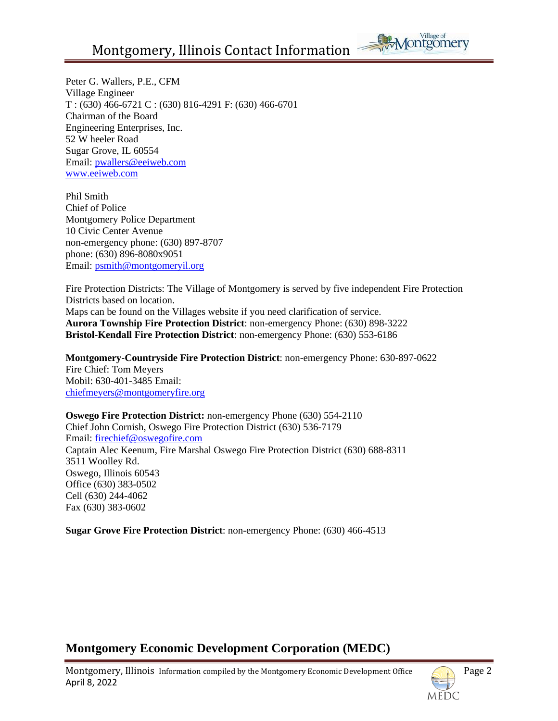

Peter G. Wallers, P.E., CFM Village Engineer T : (630) 466-6721 C : (630) 816-4291 F: (630) 466-6701 Chairman of the Board Engineering Enterprises, Inc. 52 W heeler Road Sugar Grove, IL 60554 Email: [pwallers@eeiweb.com](mailto:pwallers@eeiweb.com) [www.eeiweb.com](http://www.eeiweb.com/)

Phil Smith Chief of Police Montgomery Police Department 10 Civic Center Avenue non-emergency phone: (630) 897-8707 phone: (630) 896-8080x9051 Email: [psmith@montgomeryil.org](mailto:psmith@montgomeryil.org)

Fire Protection Districts: The Village of Montgomery is served by five independent Fire Protection Districts based on location. Maps can be found on the Villages website if you need clarification of service. **Aurora Township Fire Protection District**: non-emergency Phone: (630) 898-3222 **Bristol-Kendall Fire Protection District**: non-emergency Phone: (630) 553-6186

**Montgomery-Countryside Fire Protection District**: non-emergency Phone: 630-897-0622 Fire Chief: Tom Meyers Mobil: 630-401-3485 Email: chiefmeyers@montgomeryfire.org

**Oswego Fire Protection District:** non-emergency Phone (630) 554-2110 Chief John Cornish, Oswego Fire Protection District (630) 536-7179 Email: [firechief@oswegofire.com](mailto:firechief@oswegofire.com) Captain Alec Keenum, Fire Marshal Oswego Fire Protection District (630) 688-8311 3511 Woolley Rd. Oswego, Illinois 60543 Office (630) 383-0502 Cell (630) 244-4062 Fax (630) 383-0602

**Sugar Grove Fire Protection District**: non-emergency Phone: (630) 466-4513

## **Montgomery Economic Development Corporation (MEDC)**

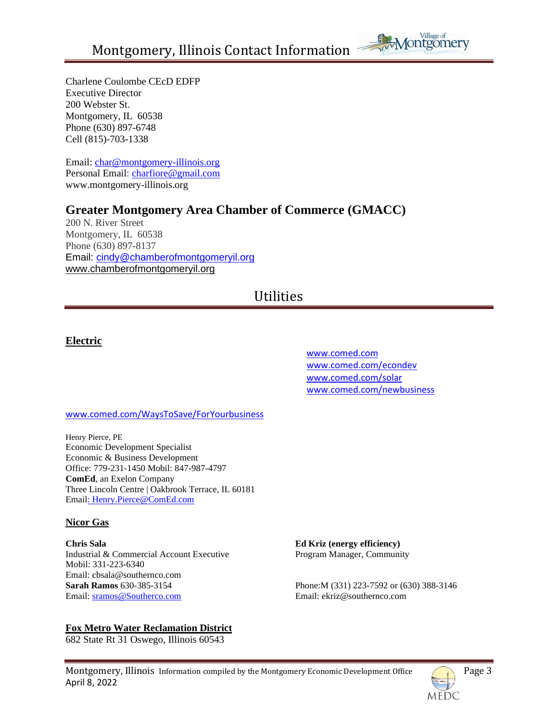

Charlene Coulombe CEcD EDFP Executive Director 200 Webster St. Montgomery, IL 60538 Phone (630) 897-6748 Cell (815)-703-1338

Email: [char@montgomery-illinois.org](mailto:char@montgomery-illinois.org) Personal Email: charfiore@gmail.com [www.montgomery-illinois.org](http://www.montgomery-illinois.org/)

## **Greater Montgomery Area Chamber of Commerce (GMACC)**

200 N. River Street Montgomery, IL 60538 Phone (630) 897-8137 Email: [cindy@chamberofmontgomeryil.org](mailto:cindy@chamberofmontgomeryil.org) [www.chamberofmontgomeryil.org](http://www.chamberofmontgomeryil.org/)

# Utilities

## **Electric**

 [www.comed.com](http://www.comed.com/) [www.comed.com/econdev](http://www.comed.com/econdev) [www.comed.com/solar](http://www.comed.com/solar) [www.comed.com/newbusiness](http://www.comed.com/newbusiness)

#### [www.comed.com/WaysToSave/ForYourbusiness](http://www.comed.com/WaysToSave/ForYourbusiness)

Henry Pierce, PE Economic Development Specialist Economic & Business Development Office: 779-231-1450 Mobil: 847-987-4797 **ComEd**, an Exelon Company Three Lincoln Centre | Oakbrook Terrace, IL 60181 Email: Henry.Pierce@ComEd.com

#### **Nicor Gas**

**Chris Sala Ed Kriz (energy efficiency)**  Industrial & Commercial Account Executive Program Manager, Community Mobil: 331-223-6340 Email: cbsala@southernco.com **Sarah Ramos** 630-385-3154 Phone:M (331) 223-7592 or (630) 388-3146 Email: sramos@Southerco.com Email: ekriz@southernco.com

**Fox Metro Water Reclamation District**

682 State Rt 31 Oswego, Illinois 60543

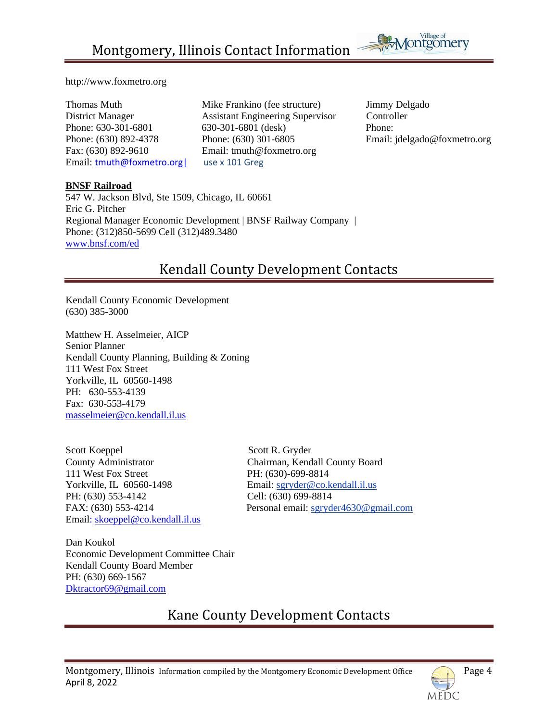

#### http://www.foxmetro.org

Fax: (630) 892-9610 Email: tmuth@foxmetro.org Email: **tmuth@foxmetro.org** use x 101 Greg

Thomas Muth Mike Frankino (fee structure) Jimmy Delgado District Manager Assistant Engineering Supervisor Controller Phone: 630-301-6801 630-301-6801 (desk) Phone: Phone: (630) 892-4378 Phone: (630) 301-6805 Email: jdelgado@foxmetro.org

#### **BNSF Railroad**

547 W. Jackson Blvd, Ste 1509, Chicago, IL 60661 Eric G. Pitcher Regional Manager Economic Development | BNSF Railway Company | Phone: (312)850-5699 Cell (312)489.3480 [www.bnsf.com/ed](http://www.bnsf.com/ed)

# Kendall County Development Contacts

Kendall County Economic Development (630) 385-3000

Matthew H. Asselmeier, AICP Senior Planner Kendall County Planning, Building & Zoning 111 West Fox Street Yorkville, IL 60560-1498 PH: 630-553-4139 Fax: 630-553-4179 [masselmeier@co.kendall.il.us](mailto:masselmeier@co.kendall.il.us) 

Scott Koeppel Scott R. Gryder 111 West Fox Street PH: (630)-699-8814 Yorkville, IL 60560-1498 Email: sgryder@co.kendall.il.us PH: (630) 553-4142 Cell: (630) 699-8814 Email: [skoeppel@co.kendall.il.us](mailto:skoeppel@co.kendall.il.us)

County Administrator Chairman, Kendall County Board FAX: (630) 553-4214 Personal email: sgryder4630@gmail.com

Dan Koukol Economic Development Committee Chair Kendall County Board Member PH: (630) 669-1567 [Dktractor69@gmail.com](mailto:Dktractor69@gmail.com)

# Kane County Development Contacts

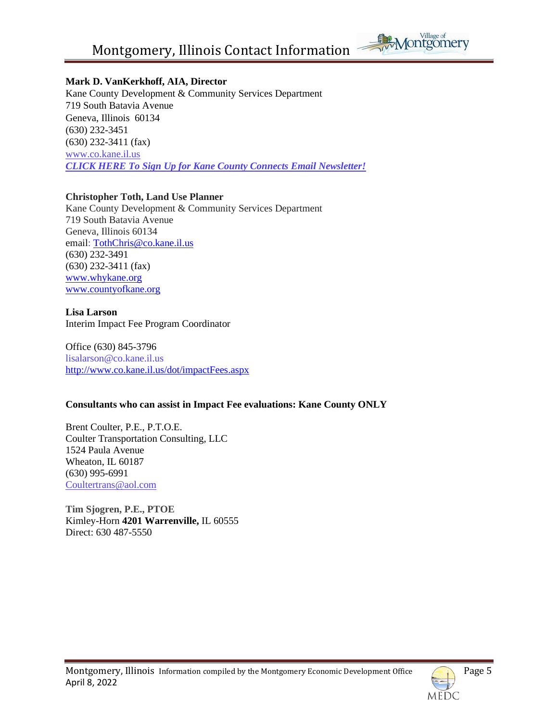

#### **Mark D. VanKerkhoff, AIA, Director**

Kane County Development & Community Services Department 719 South Batavia Avenue Geneva, Illinois 60134 (630) 232-3451 (630) 232-3411 (fax) [www.co.kane.il.us](http://www.co.kane.il.us/) *CLICK HERE To Sign Up for [Kane County Connects Email Newsletter!](http://visitor.r20.constantcontact.com/manage/optin?v=001SBRadGYOEmoR1wSdH9aMcTfyjjt2jqeS%20)*

#### **Christopher Toth, Land Use Planner**

Kane County Development & Community Services Department 719 South Batavia Avenue Geneva, Illinois 60134 email: TothChris@co.kane.il.us (630) 232-3491 [\(630\) 232-3411](tel:%28630%29%20232-3411) (fax) [www.whykane.org](http://www.whykane.org/) [www.countyofkane.org](http://www.countyofkane.org/)

#### **Lisa Larson**

Interim Impact Fee Program Coordinator

Office (630) 845-3796 lisalarson@co.kane.il.us <http://www.co.kane.il.us/dot/impactFees.aspx>

#### **Consultants who can assist in Impact Fee evaluations: Kane County ONLY**

Brent Coulter, P.E., P.T.O.E. Coulter Transportation Consulting, LLC 1524 Paula Avenue Wheaton, IL 60187 (630) 995-6991 [Coultertrans@aol.com](mailto:Coultertrans@aol.com)

**Tim Sjogren, P.E., PTOE** Kimley-Horn **4201 Warrenville,** IL 60555 Direct: 630 487-5550

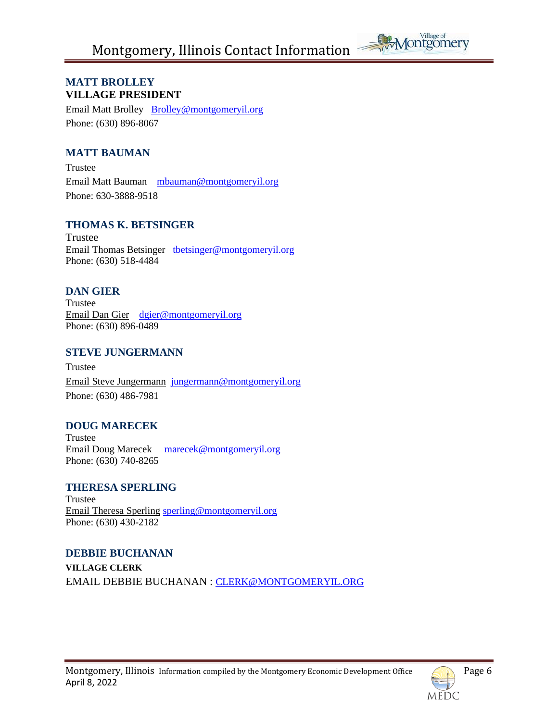

## **MATT BROLLEY VILLAGE PRESIDENT**

Email Matt Brolley [Brolley@montgomeryil.org](mailto:Brolley@montgomeryil.org) Phone: (630) 896-8067

## **MATT BAUMAN**

Trustee Email Matt Bauman[mbauman@montgomeryil.org](mailto:mbauman@montgomeryil.org) Phone: 630-3888-9518

## **THOMAS K. BETSINGER**

Trustee Email Thomas Betsinger thetsinger@montgomeryil.org Phone: (630) 518-4484

## **DAN GIER**

Trustee Email Dan Gier [dgier@montgomeryil.org](mailto:dgier@montgomeryil.org) Phone: (630) 896-0489

### **STEVE JUNGERMANN**

Trustee [Email Steve Jungermann](mailto:jungermann@ci.montgomery.il.us) [jungermann@montgomeryil.org](mailto:jungermann@montgomeryil.org) Phone: (630) 486-7981

## **DOUG MARECEK**

Trustee Email Doug Marecek [marecek@montgomeryil.org](mailto:marecek@montgomeryil.org) Phone: (630) 740-8265

### **THERESA SPERLING**

Trustee Email Theresa Sperling sperling@montgomeryil.org Phone: (630) 430-2182

### **DEBBIE BUCHANAN**

**VILLAGE CLERK** EMAIL DEBBIE BUCHANAN : [CLERK@MONTGOMERYIL.ORG](mailto:CLERK@montgomeryil.ORG)